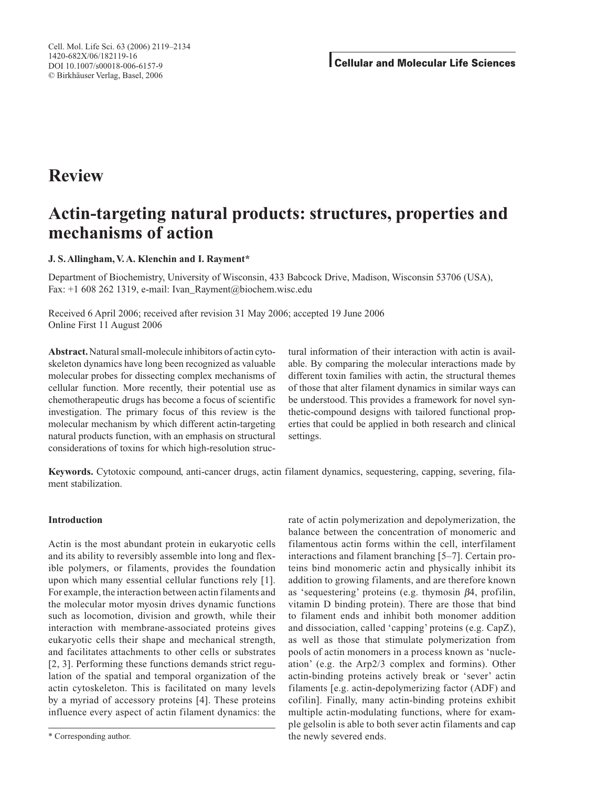# **Review**

# **Actin-targeting natural products: structures, properties and mechanisms of action**

# **J. S. Allingham, V. A. Klenchin and I. Rayment\***

Department of Biochemistry, University of Wisconsin, 433 Babcock Drive, Madison, Wisconsin 53706 (USA), Fax: +1 608 262 1319, e-mail: Ivan\_Rayment@biochem.wisc.edu

Received 6 April 2006; received after revision 31 May 2006; accepted 19 June 2006 Online First 11 August 2006

**Abstract.** Natural small-molecule inhibitors of actin cytoskeleton dynamics have long been recognized as valuable molecular probes for dissecting complex mechanisms of cellular function. More recently, their potential use as chemotherapeutic drugs has become a focus of scientific investigation. The primary focus of this review is the molecular mechanism by which different actin-targeting natural products function, with an emphasis on structural considerations of toxins for which high-resolution structural information of their interaction with actin is available. By comparing the molecular interactions made by different toxin families with actin, the structural themes of those that alter filament dynamics in similar ways can be understood. This provides a framework for novel synthetic-compound designs with tailored functional properties that could be applied in both research and clinical settings.

**Keywords.** Cytotoxic compound, anti-cancer drugs, actin filament dynamics, sequestering, capping, severing, filament stabilization.

## **Introduction**

Actin is the most abundant protein in eukaryotic cells and its ability to reversibly assemble into long and flexible polymers, or filaments, provides the foundation upon which many essential cellular functions rely [1]. For example, the interaction between actin filaments and the molecular motor myosin drives dynamic functions such as locomotion, division and growth, while their interaction with membrane-associated proteins gives eukaryotic cells their shape and mechanical strength, and facilitates attachments to other cells or substrates [2, 3]. Performing these functions demands strict regulation of the spatial and temporal organization of the actin cytoskeleton. This is facilitated on many levels by a myriad of accessory proteins [4]. These proteins influence every aspect of actin filament dynamics: the rate of actin polymerization and depolymerization, the balance between the concentration of monomeric and filamentous actin forms within the cell, interfilament interactions and filament branching [5–7]. Certain proteins bind monomeric actin and physically inhibit its addition to growing filaments, and are therefore known as 'sequestering' proteins (e.g. thymosin β4, profilin, vitamin D binding protein). There are those that bind to filament ends and inhibit both monomer addition and dissociation, called 'capping' proteins (e.g. CapZ), as well as those that stimulate polymerization from pools of actin monomers in a process known as 'nucleation' (e.g. the Arp2/3 complex and formins). Other actin-binding proteins actively break or 'sever' actin filaments [e.g. actin-depolymerizing factor (ADF) and cofilin]. Finally, many actin-binding proteins exhibit multiple actin-modulating functions, where for example gelsolin is able to both sever actin filaments and cap the newly severed ends.

<sup>\*</sup> Corresponding author.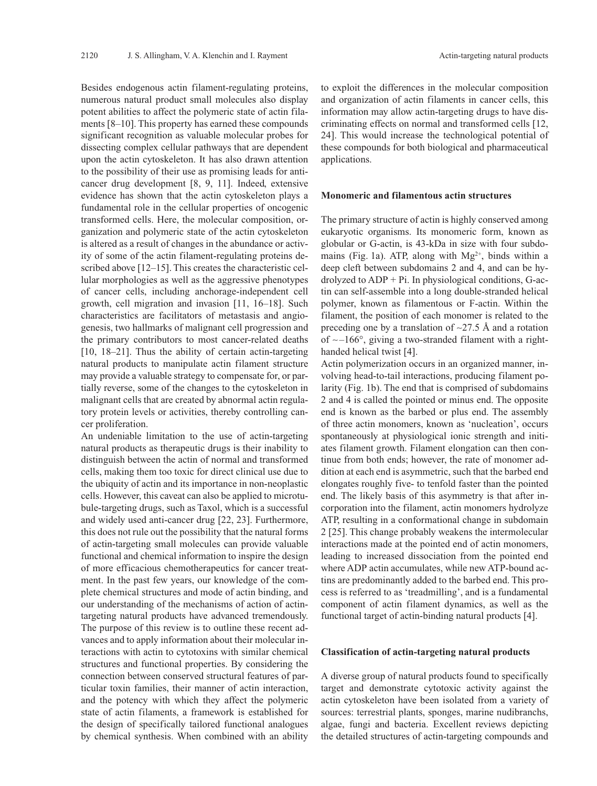Besides endogenous actin filament-regulating proteins, numerous natural product small molecules also display potent abilities to affect the polymeric state of actin filaments [8–10]. This property has earned these compounds significant recognition as valuable molecular probes for dissecting complex cellular pathways that are dependent upon the actin cytoskeleton. It has also drawn attention to the possibility of their use as promising leads for anticancer drug development [8, 9, 11]. Indeed, extensive evidence has shown that the actin cytoskeleton plays a fundamental role in the cellular properties of oncogenic transformed cells. Here, the molecular composition, organization and polymeric state of the actin cytoskeleton is altered as a result of changes in the abundance or activity of some of the actin filament-regulating proteins described above [12–15]. This creates the characteristic cellular morphologies as well as the aggressive phenotypes of cancer cells, including anchorage-independent cell growth, cell migration and invasion [11, 16–18]. Such characteristics are facilitators of metastasis and angiogenesis, two hallmarks of malignant cell progression and the primary contributors to most cancer-related deaths [10, 18–21]. Thus the ability of certain actin-targeting natural products to manipulate actin filament structure may provide a valuable strategy to compensate for, or partially reverse, some of the changes to the cytoskeleton in malignant cells that are created by abnormal actin regulatory protein levels or activities, thereby controlling cancer proliferation.

An undeniable limitation to the use of actin-targeting natural products as therapeutic drugs is their inability to distinguish between the actin of normal and transformed cells, making them too toxic for direct clinical use due to the ubiquity of actin and its importance in non-neoplastic cells. However, this caveat can also be applied to microtubule-targeting drugs, such as Taxol, which is a successful and widely used anti-cancer drug [22, 23]. Furthermore, this does not rule out the possibility that the natural forms of actin-targeting small molecules can provide valuable functional and chemical information to inspire the design of more efficacious chemotherapeutics for cancer treatment. In the past few years, our knowledge of the complete chemical structures and mode of actin binding, and our understanding of the mechanisms of action of actintargeting natural products have advanced tremendously. The purpose of this review is to outline these recent advances and to apply information about their molecular interactions with actin to cytotoxins with similar chemical structures and functional properties. By considering the connection between conserved structural features of particular toxin families, their manner of actin interaction, and the potency with which they affect the polymeric state of actin filaments, a framework is established for the design of specifically tailored functional analogues by chemical synthesis. When combined with an ability

to exploit the differences in the molecular composition and organization of actin filaments in cancer cells, this information may allow actin-targeting drugs to have discriminating effects on normal and transformed cells [12, 24]. This would increase the technological potential of these compounds for both biological and pharmaceutical applications.

#### **Monomeric and filamentous actin structures**

The primary structure of actin is highly conserved among eukaryotic organisms. Its monomeric form, known as globular or G-actin, is 43-kDa in size with four subdomains (Fig. 1a). ATP, along with  $Mg^{2+}$ , binds within a deep cleft between subdomains 2 and 4, and can be hydrolyzed to ADP + Pi. In physiological conditions, G-actin can self-assemble into a long double-stranded helical polymer, known as filamentous or F-actin. Within the filament, the position of each monomer is related to the preceding one by a translation of ∼27.5 Å and a rotation of ∼ –166°, giving a two-stranded filament with a righthanded helical twist [4].

Actin polymerization occurs in an organized manner, involving head-to-tail interactions, producing filament polarity (Fig. 1b). The end that is comprised of subdomains 2 and 4 is called the pointed or minus end. The opposite end is known as the barbed or plus end. The assembly of three actin monomers, known as 'nucleation', occurs spontaneously at physiological ionic strength and initiates filament growth. Filament elongation can then continue from both ends; however, the rate of monomer addition at each end is asymmetric, such that the barbed end elongates roughly five- to tenfold faster than the pointed end. The likely basis of this asymmetry is that after incorporation into the filament, actin monomers hydrolyze ATP, resulting in a conformational change in subdomain 2 [25]. This change probably weakens the intermolecular interactions made at the pointed end of actin monomers, leading to increased dissociation from the pointed end where ADP actin accumulates, while new ATP-bound actins are predominantly added to the barbed end. This process is referred to as 'treadmilling', and is a fundamental component of actin filament dynamics, as well as the functional target of actin-binding natural products [4].

## **Classification of actin-targeting natural products**

A diverse group of natural products found to specifically target and demonstrate cytotoxic activity against the actin cytoskeleton have been isolated from a variety of sources: terrestrial plants, sponges, marine nudibranchs, algae, fungi and bacteria. Excellent reviews depicting the detailed structures of actin-targeting compounds and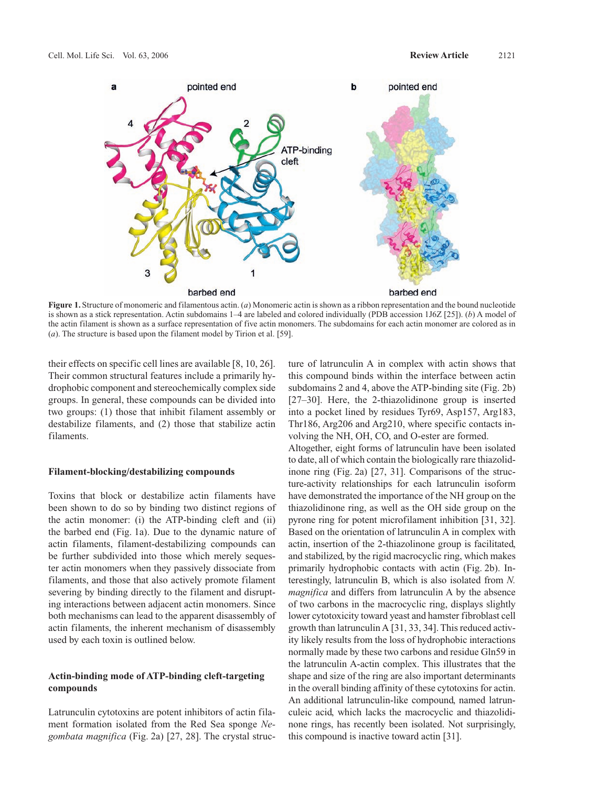

**Figure 1.** Structure of monomeric and filamentous actin. (*a*) Monomeric actin is shown as a ribbon representation and the bound nucleotide is shown as a stick representation. Actin subdomains 1–4 are labeled and colored individually (PDB accession 1J6Z [25]). (*b*) A model of the actin filament is shown as a surface representation of five actin monomers. The subdomains for each actin monomer are colored as in (*a*). The structure is based upon the filament model by Tirion et al. [59].

their effects on specific cell lines are available [8, 10, 26]. Their common structural features include a primarily hydrophobic component and stereochemically complex side groups. In general, these compounds can be divided into two groups: (1) those that inhibit filament assembly or destabilize filaments, and (2) those that stabilize actin filaments.

## **Filament-blocking/destabilizing compounds**

Toxins that block or destabilize actin filaments have been shown to do so by binding two distinct regions of the actin monomer: (i) the ATP-binding cleft and (ii) the barbed end (Fig. 1a). Due to the dynamic nature of actin filaments, filament-destabilizing compounds can be further subdivided into those which merely sequester actin monomers when they passively dissociate from filaments, and those that also actively promote filament severing by binding directly to the filament and disrupting interactions between adjacent actin monomers. Since both mechanisms can lead to the apparent disassembly of actin filaments, the inherent mechanism of disassembly used by each toxin is outlined below.

## **Actin-binding mode of ATP-binding cleft-targeting compounds**

Latrunculin cytotoxins are potent inhibitors of actin filament formation isolated from the Red Sea sponge *Negombata magnifica* (Fig. 2a) [27, 28]. The crystal structure of latrunculin A in complex with actin shows that this compound binds within the interface between actin subdomains 2 and 4, above the ATP-binding site (Fig. 2b) [27–30]. Here, the 2-thiazolidinone group is inserted into a pocket lined by residues Tyr69, Asp157, Arg183, Thr186, Arg206 and Arg210, where specific contacts involving the NH, OH, CO, and O-ester are formed.

Altogether, eight forms of latrunculin have been isolated to date, all of which contain the biologically rare thiazolidinone ring (Fig. 2a) [27, 31]. Comparisons of the structure-activity relationships for each latrunculin isoform have demonstrated the importance of the NH group on the thiazolidinone ring, as well as the OH side group on the pyrone ring for potent microfilament inhibition [31, 32]. Based on the orientation of latrunculin A in complex with actin, insertion of the 2-thiazolinone group is facilitated, and stabilized, by the rigid macrocyclic ring, which makes primarily hydrophobic contacts with actin (Fig. 2b). Interestingly, latrunculin B, which is also isolated from *N. magnifica* and differs from latrunculin A by the absence of two carbons in the macrocyclic ring, displays slightly lower cytotoxicity toward yeast and hamster fibroblast cell growth than latrunculin A [31, 33, 34]. This reduced activity likely results from the loss of hydrophobic interactions normally made by these two carbons and residue Gln59 in the latrunculin A-actin complex. This illustrates that the shape and size of the ring are also important determinants in the overall binding affinity of these cytotoxins for actin. An additional latrunculin-like compound, named latrunculeic acid, which lacks the macrocyclic and thiazolidinone rings, has recently been isolated. Not surprisingly, this compound is inactive toward actin [31].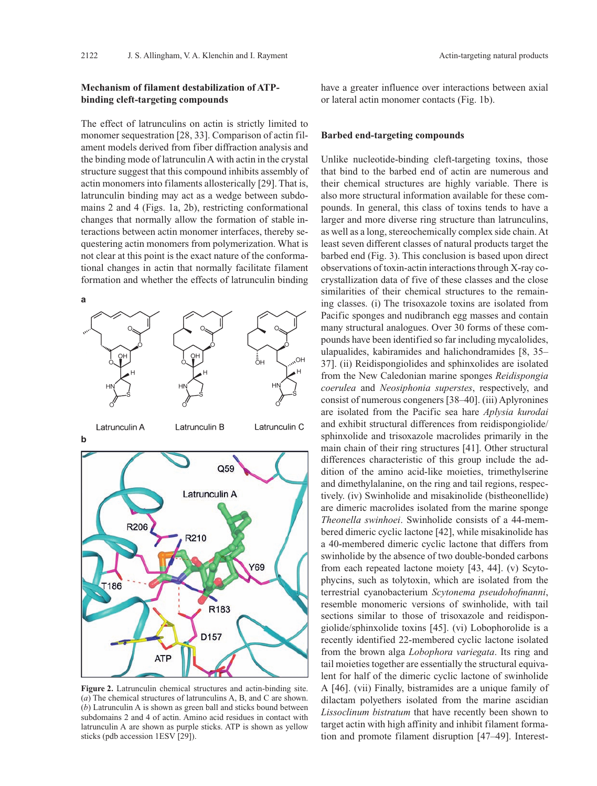## **Mechanism of filament destabilization of ATPbinding cleft-targeting compounds**

The effect of latrunculins on actin is strictly limited to monomer sequestration [28, 33]. Comparison of actin filament models derived from fiber diffraction analysis and the binding mode of latrunculin A with actin in the crystal structure suggest that this compound inhibits assembly of actin monomers into filaments allosterically [29]. That is, latrunculin binding may act as a wedge between subdomains 2 and 4 (Figs. 1a, 2b), restricting conformational changes that normally allow the formation of stable interactions between actin monomer interfaces, thereby sequestering actin monomers from polymerization. What is not clear at this point is the exact nature of the conformational changes in actin that normally facilitate filament formation and whether the effects of latrunculin binding



**Figure 2.** Latrunculin chemical structures and actin-binding site. (*a*) The chemical structures of latrunculins A, B, and C are shown. (*b*) Latrunculin A is shown as green ball and sticks bound between subdomains 2 and 4 of actin. Amino acid residues in contact with latrunculin A are shown as purple sticks. ATP is shown as yellow sticks (pdb accession 1ESV [29]).

have a greater influence over interactions between axial or lateral actin monomer contacts (Fig. 1b).

#### **Barbed end-targeting compounds**

Unlike nucleotide-binding cleft-targeting toxins, those that bind to the barbed end of actin are numerous and their chemical structures are highly variable. There is also more structural information available for these compounds. In general, this class of toxins tends to have a larger and more diverse ring structure than latrunculins, as well as a long, stereochemically complex side chain. At least seven different classes of natural products target the barbed end (Fig. 3). This conclusion is based upon direct observations of toxin-actin interactions through X-ray cocrystallization data of five of these classes and the close similarities of their chemical structures to the remaining classes. (i) The trisoxazole toxins are isolated from Pacific sponges and nudibranch egg masses and contain many structural analogues. Over 30 forms of these compounds have been identified so far including mycalolides, ulapualides, kabiramides and halichondramides [8, 35– 37]. (ii) Reidispongiolides and sphinxolides are isolated from the New Caledonian marine sponges *Reidispongia coerulea* and *Neosiphonia superstes*, respectively, and consist of numerous congeners [38–40]. (iii) Aplyronines are isolated from the Pacific sea hare *Aplysia kurodai* and exhibit structural differences from reidispongiolide/ sphinxolide and trisoxazole macrolides primarily in the main chain of their ring structures [41]. Other structural differences characteristic of this group include the addition of the amino acid-like moieties, trimethylserine and dimethylalanine, on the ring and tail regions, respectively. (iv) Swinholide and misakinolide (bistheonellide) are dimeric macrolides isolated from the marine sponge *Theonella swinhoei*. Swinholide consists of a 44-membered dimeric cyclic lactone [42], while misakinolide has a 40-membered dimeric cyclic lactone that differs from swinholide by the absence of two double-bonded carbons from each repeated lactone moiety [43, 44]. (v) Scytophycins, such as tolytoxin, which are isolated from the terrestrial cyanobacterium *Scytonema pseudohofmanni*, resemble monomeric versions of swinholide, with tail sections similar to those of trisoxazole and reidispongiolide/sphinxolide toxins [45]. (vi) Lobophorolide is a recently identified 22-membered cyclic lactone isolated from the brown alga *Lobophora variegata*. Its ring and tail moieties together are essentially the structural equivalent for half of the dimeric cyclic lactone of swinholide A [46]. (vii) Finally, bistramides are a unique family of dilactam polyethers isolated from the marine ascidian *Lissoclinum bistratum* that have recently been shown to target actin with high affinity and inhibit filament formation and promote filament disruption [47–49]. Interest-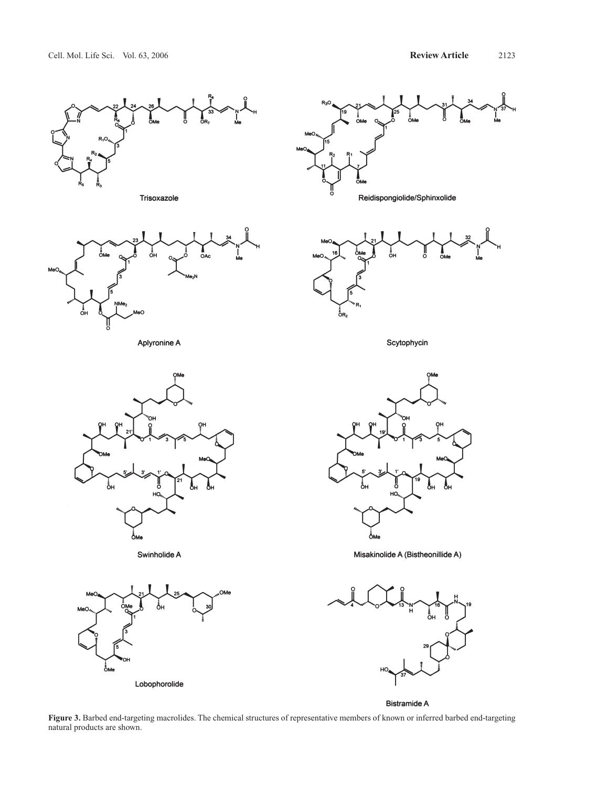

Trisoxazole



Aplyronine A



Swinholide A







Scytophycin



Misakinolide A (Bistheonillide A)



Bistramide A

**Figure 3.** Barbed end-targeting macrolides. The chemical structures of representative members of known or inferred barbed end-targeting natural products are shown.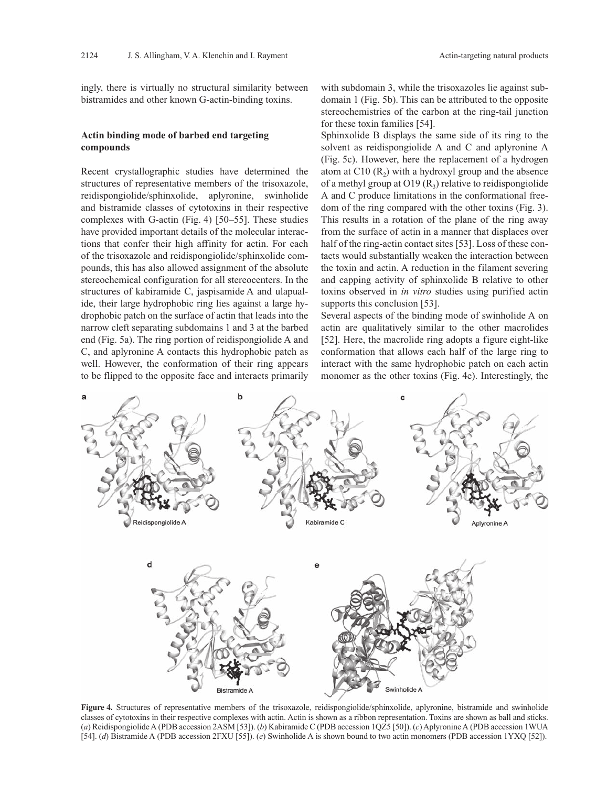ingly, there is virtually no structural similarity between bistramides and other known G-actin-binding toxins.

## **Actin binding mode of barbed end targeting compounds**

Recent crystallographic studies have determined the structures of representative members of the trisoxazole, reidispongiolide/sphinxolide, aplyronine, swinholide and bistramide classes of cytotoxins in their respective complexes with G-actin (Fig. 4) [50–55]. These studies have provided important details of the molecular interactions that confer their high affinity for actin. For each of the trisoxazole and reidispongiolide/sphinxolide compounds, this has also allowed assignment of the absolute stereochemical configuration for all stereocenters. In the structures of kabiramide C, jaspisamide A and ulapualide, their large hydrophobic ring lies against a large hydrophobic patch on the surface of actin that leads into the narrow cleft separating subdomains 1 and 3 at the barbed end (Fig. 5a). The ring portion of reidispongiolide A and C, and aplyronine A contacts this hydrophobic patch as well. However, the conformation of their ring appears to be flipped to the opposite face and interacts primarily

with subdomain 3, while the trisoxazoles lie against subdomain 1 (Fig. 5b). This can be attributed to the opposite stereochemistries of the carbon at the ring-tail junction for these toxin families [54].

Sphinxolide B displays the same side of its ring to the solvent as reidispongiolide A and C and aplyronine A (Fig. 5c). However, here the replacement of a hydrogen atom at C10  $(R_2)$  with a hydroxyl group and the absence of a methyl group at  $O19(R_3)$  relative to reidispongiolide A and C produce limitations in the conformational freedom of the ring compared with the other toxins (Fig. 3). This results in a rotation of the plane of the ring away from the surface of actin in a manner that displaces over half of the ring-actin contact sites [53]. Loss of these contacts would substantially weaken the interaction between the toxin and actin. A reduction in the filament severing and capping activity of sphinxolide B relative to other toxins observed in *in vitro* studies using purified actin supports this conclusion [53].

Several aspects of the binding mode of swinholide A on actin are qualitatively similar to the other macrolides [52]. Here, the macrolide ring adopts a figure eight-like conformation that allows each half of the large ring to interact with the same hydrophobic patch on each actin monomer as the other toxins (Fig. 4e). Interestingly, the



**Figure 4.** Structures of representative members of the trisoxazole, reidispongiolide/sphinxolide, aplyronine, bistramide and swinholide classes of cytotoxins in their respective complexes with actin. Actin is shown as a ribbon representation. Toxins are shown as ball and sticks. (*a*) Reidispongiolide A (PDB accession 2ASM [53]). (*b*) Kabiramide C (PDB accession 1QZ5 [50]). (*c*) Aplyronine A (PDB accession 1WUA [54]. (*d*) Bistramide A (PDB accession 2FXU [55]). (*e*) Swinholide A is shown bound to two actin monomers (PDB accession 1YXQ [52]).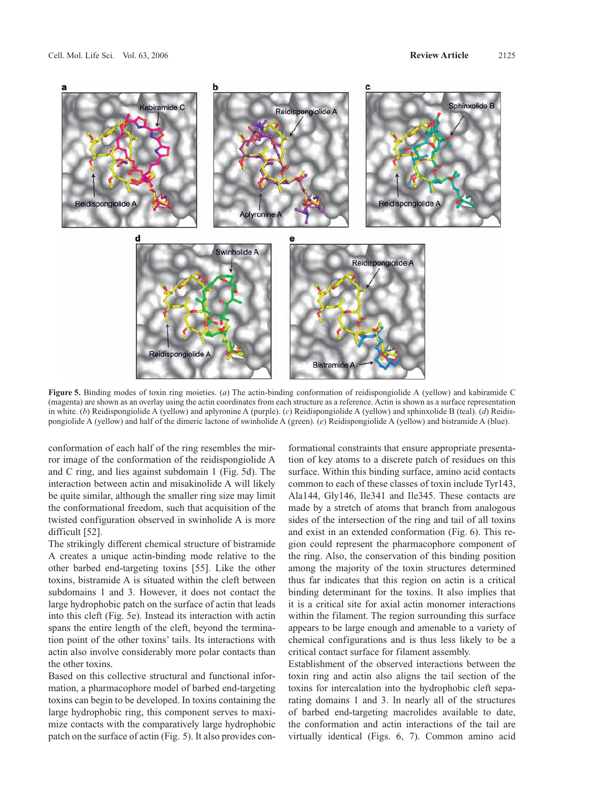

**Figure 5.** Binding modes of toxin ring moieties. (*a*) The actin-binding conformation of reidispongiolide A (yellow) and kabiramide C (magenta) are shown as an overlay using the actin coordinates from each structure as a reference. Actin is shown as a surface representation in white. (*b*) Reidispongiolide A (yellow) and aplyronine A (purple). (*c*) Reidispongiolide A (yellow) and sphinxolide B (teal). (*d*) Reidispongiolide A (yellow) and half of the dimeric lactone of swinholide A (green). (*e*) Reidispongiolide A (yellow) and bistramide A (blue).

conformation of each half of the ring resembles the mirror image of the conformation of the reidispongiolide A and C ring, and lies against subdomain 1 (Fig. 5d). The interaction between actin and misakinolide A will likely be quite similar, although the smaller ring size may limit the conformational freedom, such that acquisition of the twisted configuration observed in swinholide A is more difficult [52].

The strikingly different chemical structure of bistramide A creates a unique actin-binding mode relative to the other barbed end-targeting toxins [55]. Like the other toxins, bistramide A is situated within the cleft between subdomains 1 and 3. However, it does not contact the large hydrophobic patch on the surface of actin that leads into this cleft (Fig. 5e). Instead its interaction with actin spans the entire length of the cleft, beyond the termination point of the other toxins' tails. Its interactions with actin also involve considerably more polar contacts than the other toxins.

Based on this collective structural and functional information, a pharmacophore model of barbed end-targeting toxins can begin to be developed. In toxins containing the large hydrophobic ring, this component serves to maximize contacts with the comparatively large hydrophobic patch on the surface of actin (Fig. 5). It also provides conformational constraints that ensure appropriate presentation of key atoms to a discrete patch of residues on this surface. Within this binding surface, amino acid contacts common to each of these classes of toxin include Tyr143, Ala144, Gly146, Ile341 and Ile345. These contacts are made by a stretch of atoms that branch from analogous sides of the intersection of the ring and tail of all toxins and exist in an extended conformation (Fig. 6). This region could represent the pharmacophore component of the ring. Also, the conservation of this binding position among the majority of the toxin structures determined thus far indicates that this region on actin is a critical binding determinant for the toxins. It also implies that it is a critical site for axial actin monomer interactions within the filament. The region surrounding this surface appears to be large enough and amenable to a variety of chemical configurations and is thus less likely to be a critical contact surface for filament assembly.

Establishment of the observed interactions between the toxin ring and actin also aligns the tail section of the toxins for intercalation into the hydrophobic cleft separating domains 1 and 3. In nearly all of the structures of barbed end-targeting macrolides available to date, the conformation and actin interactions of the tail are virtually identical (Figs. 6, 7). Common amino acid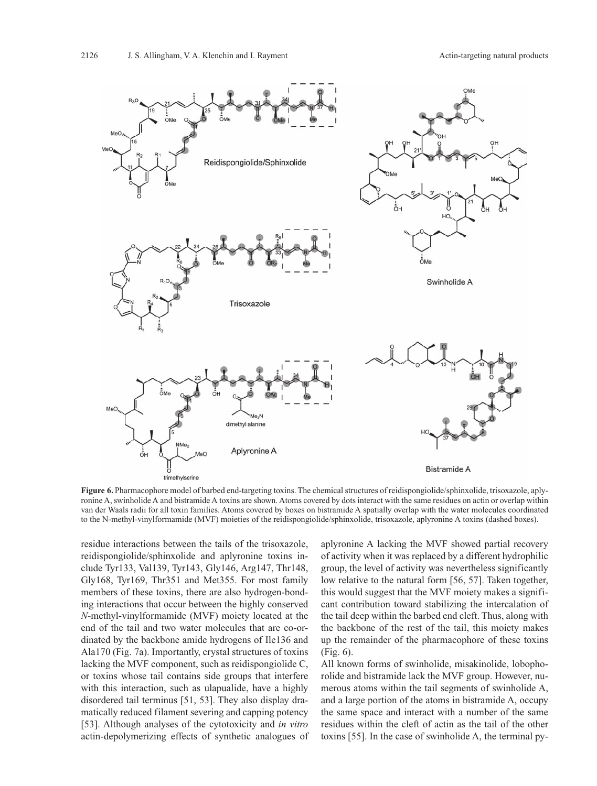

**Figure 6.** Pharmacophore model of barbed end-targeting toxins. The chemical structures of reidispongiolide/sphinxolide, trisoxazole, aplyronine A, swinholide A and bistramide A toxins are shown. Atoms covered by dots interact with the same residues on actin or overlap within van der Waals radii for all toxin families. Atoms covered by boxes on bistramide A spatially overlap with the water molecules coordinated to the N-methyl-vinylformamide (MVF) moieties of the reidispongiolide/sphinxolide, trisoxazole, aplyronine A toxins (dashed boxes).

residue interactions between the tails of the trisoxazole, reidispongiolide/sphinxolide and aplyronine toxins include Tyr133, Val139, Tyr143, Gly146, Arg147, Thr148, Gly168, Tyr169, Thr351 and Met355. For most family members of these toxins, there are also hydrogen-bonding interactions that occur between the highly conserved *N-*methyl-vinylformamide (MVF) moiety located at the end of the tail and two water molecules that are co-ordinated by the backbone amide hydrogens of Ile136 and Ala170 (Fig. 7a). Importantly, crystal structures of toxins lacking the MVF component, such as reidispongiolide C, or toxins whose tail contains side groups that interfere with this interaction, such as ulapualide, have a highly disordered tail terminus [51, 53]. They also display dramatically reduced filament severing and capping potency [53]. Although analyses of the cytotoxicity and *in vitro* actin-depolymerizing effects of synthetic analogues of aplyronine A lacking the MVF showed partial recovery of activity when it was replaced by a different hydrophilic group, the level of activity was nevertheless significantly low relative to the natural form [56, 57]. Taken together, this would suggest that the MVF moiety makes a significant contribution toward stabilizing the intercalation of the tail deep within the barbed end cleft. Thus, along with the backbone of the rest of the tail, this moiety makes up the remainder of the pharmacophore of these toxins (Fig. 6).

All known forms of swinholide, misakinolide, lobophorolide and bistramide lack the MVF group. However, numerous atoms within the tail segments of swinholide A, and a large portion of the atoms in bistramide A, occupy the same space and interact with a number of the same residues within the cleft of actin as the tail of the other toxins [55]. In the case of swinholide A, the terminal py-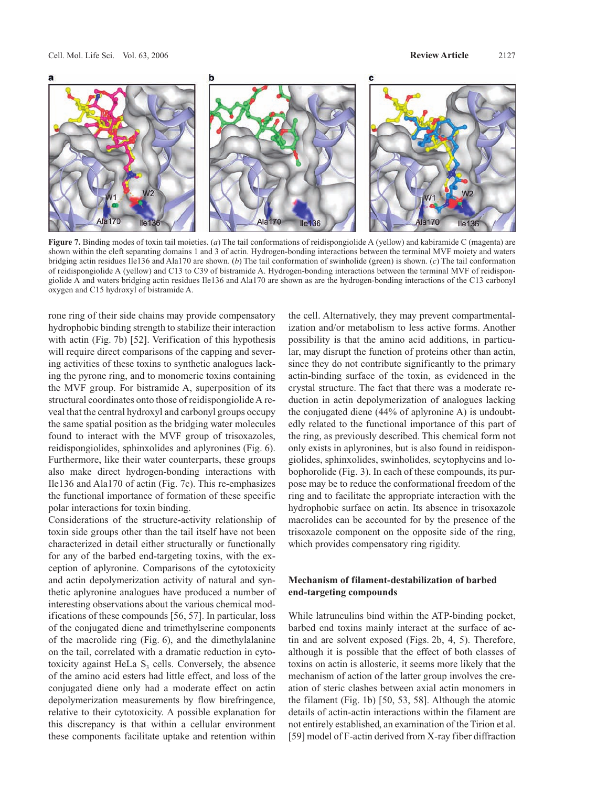

**Figure 7.** Binding modes of toxin tail moieties. (*a*) The tail conformations of reidispongiolide A (yellow) and kabiramide C (magenta) are shown within the cleft separating domains 1 and 3 of actin. Hydrogen-bonding interactions between the terminal MVF moiety and waters bridging actin residues Ile136 and Ala170 are shown. (*b*) The tail conformation of swinholide (green) is shown. (*c*) The tail conformation of reidispongiolide A (yellow) and C13 to C39 of bistramide A. Hydrogen-bonding interactions between the terminal MVF of reidispongiolide A and waters bridging actin residues Ile136 and Ala170 are shown as are the hydrogen-bonding interactions of the C13 carbonyl oxygen and C15 hydroxyl of bistramide A.

rone ring of their side chains may provide compensatory hydrophobic binding strength to stabilize their interaction with actin (Fig. 7b) [52]. Verification of this hypothesis will require direct comparisons of the capping and severing activities of these toxins to synthetic analogues lacking the pyrone ring, and to monomeric toxins containing the MVF group. For bistramide A, superposition of its structural coordinates onto those of reidispongiolide A reveal that the central hydroxyl and carbonyl groups occupy the same spatial position as the bridging water molecules found to interact with the MVF group of trisoxazoles, reidispongiolides, sphinxolides and aplyronines (Fig. 6). Furthermore, like their water counterparts, these groups also make direct hydrogen-bonding interactions with Ile136 and Ala170 of actin (Fig. 7c). This re-emphasizes the functional importance of formation of these specific polar interactions for toxin binding.

Considerations of the structure-activity relationship of toxin side groups other than the tail itself have not been characterized in detail either structurally or functionally for any of the barbed end-targeting toxins, with the exception of aplyronine. Comparisons of the cytotoxicity and actin depolymerization activity of natural and synthetic aplyronine analogues have produced a number of interesting observations about the various chemical modifications of these compounds [56, 57]. In particular, loss of the conjugated diene and trimethylserine components of the macrolide ring (Fig. 6), and the dimethylalanine on the tail, correlated with a dramatic reduction in cytotoxicity against HeLa  $S<sub>3</sub>$  cells. Conversely, the absence of the amino acid esters had little effect, and loss of the conjugated diene only had a moderate effect on actin depolymerization measurements by flow birefringence, relative to their cytotoxicity. A possible explanation for this discrepancy is that within a cellular environment these components facilitate uptake and retention within the cell. Alternatively, they may prevent compartmentalization and/or metabolism to less active forms. Another possibility is that the amino acid additions, in particular, may disrupt the function of proteins other than actin, since they do not contribute significantly to the primary actin-binding surface of the toxin, as evidenced in the crystal structure. The fact that there was a moderate reduction in actin depolymerization of analogues lacking the conjugated diene (44% of aplyronine A) is undoubtedly related to the functional importance of this part of the ring, as previously described. This chemical form not only exists in aplyronines, but is also found in reidispongiolides, sphinxolides, swinholides, scytophycins and lobophorolide (Fig. 3). In each of these compounds, its purpose may be to reduce the conformational freedom of the ring and to facilitate the appropriate interaction with the hydrophobic surface on actin. Its absence in trisoxazole macrolides can be accounted for by the presence of the trisoxazole component on the opposite side of the ring, which provides compensatory ring rigidity.

# **Mechanism of filament-destabilization of barbed end-targeting compounds**

While latrunculins bind within the ATP-binding pocket, barbed end toxins mainly interact at the surface of actin and are solvent exposed (Figs. 2b, 4, 5). Therefore, although it is possible that the effect of both classes of toxins on actin is allosteric, it seems more likely that the mechanism of action of the latter group involves the creation of steric clashes between axial actin monomers in the filament (Fig. 1b) [50, 53, 58]. Although the atomic details of actin-actin interactions within the filament are not entirely established, an examination of the Tirion et al. [59] model of F-actin derived from X-ray fiber diffraction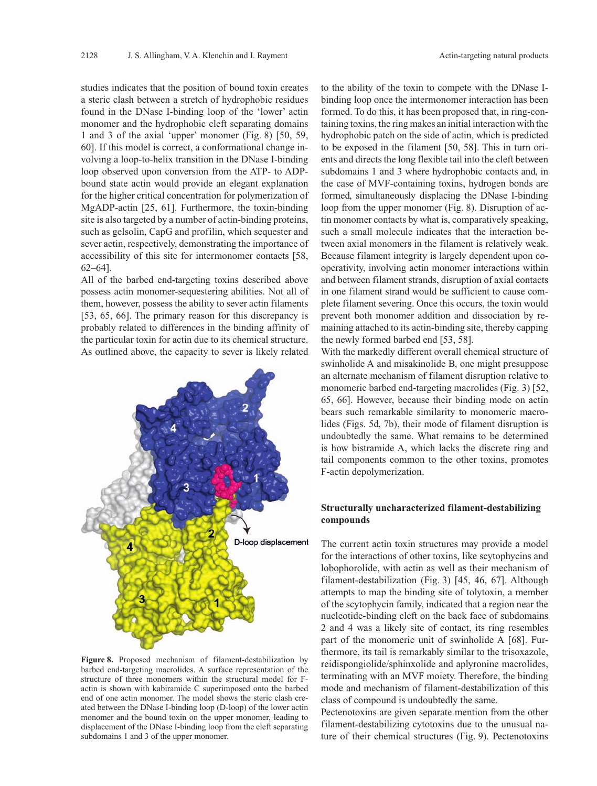studies indicates that the position of bound toxin creates a steric clash between a stretch of hydrophobic residues found in the DNase I-binding loop of the 'lower' actin monomer and the hydrophobic cleft separating domains 1 and 3 of the axial 'upper' monomer (Fig. 8) [50, 59, 60]. If this model is correct, a conformational change involving a loop-to-helix transition in the DNase I-binding loop observed upon conversion from the ATP- to ADPbound state actin would provide an elegant explanation for the higher critical concentration for polymerization of MgADP-actin [25, 61]. Furthermore, the toxin-binding site is also targeted by a number of actin-binding proteins, such as gelsolin, CapG and profilin, which sequester and sever actin, respectively, demonstrating the importance of accessibility of this site for intermonomer contacts [58, 62–64].

All of the barbed end-targeting toxins described above possess actin monomer-sequestering abilities. Not all of them, however, possess the ability to sever actin filaments [53, 65, 66]. The primary reason for this discrepancy is probably related to differences in the binding affinity of the particular toxin for actin due to its chemical structure. As outlined above, the capacity to sever is likely related



**Figure 8.** Proposed mechanism of filament-destabilization by barbed end-targeting macrolides. A surface representation of the structure of three monomers within the structural model for Factin is shown with kabiramide C superimposed onto the barbed end of one actin monomer. The model shows the steric clash created between the DNase I-binding loop (D-loop) of the lower actin monomer and the bound toxin on the upper monomer, leading to displacement of the DNase I-binding loop from the cleft separating subdomains 1 and 3 of the upper monomer.

to the ability of the toxin to compete with the DNase Ibinding loop once the intermonomer interaction has been formed. To do this, it has been proposed that, in ring-containing toxins, the ring makes an initial interaction with the hydrophobic patch on the side of actin, which is predicted to be exposed in the filament [50, 58]. This in turn orients and directs the long flexible tail into the cleft between subdomains 1 and 3 where hydrophobic contacts and, in the case of MVF-containing toxins, hydrogen bonds are formed, simultaneously displacing the DNase I-binding loop from the upper monomer (Fig. 8). Disruption of actin monomer contacts by what is, comparatively speaking, such a small molecule indicates that the interaction between axial monomers in the filament is relatively weak. Because filament integrity is largely dependent upon cooperativity, involving actin monomer interactions within and between filament strands, disruption of axial contacts in one filament strand would be sufficient to cause complete filament severing. Once this occurs, the toxin would prevent both monomer addition and dissociation by remaining attached to its actin-binding site, thereby capping the newly formed barbed end [53, 58].

With the markedly different overall chemical structure of swinholide A and misakinolide B, one might presuppose an alternate mechanism of filament disruption relative to monomeric barbed end-targeting macrolides (Fig. 3) [52, 65, 66]. However, because their binding mode on actin bears such remarkable similarity to monomeric macrolides (Figs. 5d, 7b), their mode of filament disruption is undoubtedly the same. What remains to be determined is how bistramide A, which lacks the discrete ring and tail components common to the other toxins, promotes F-actin depolymerization.

## **Structurally uncharacterized filament-destabilizing compounds**

The current actin toxin structures may provide a model for the interactions of other toxins, like scytophycins and lobophorolide, with actin as well as their mechanism of filament-destabilization (Fig. 3) [45, 46, 67]. Although attempts to map the binding site of tolytoxin, a member of the scytophycin family, indicated that a region near the nucleotide-binding cleft on the back face of subdomains 2 and 4 was a likely site of contact, its ring resembles part of the monomeric unit of swinholide A [68]. Furthermore, its tail is remarkably similar to the trisoxazole, reidispongiolide/sphinxolide and aplyronine macrolides, terminating with an MVF moiety. Therefore, the binding mode and mechanism of filament-destabilization of this class of compound is undoubtedly the same.

Pectenotoxins are given separate mention from the other filament-destabilizing cytotoxins due to the unusual nature of their chemical structures (Fig. 9). Pectenotoxins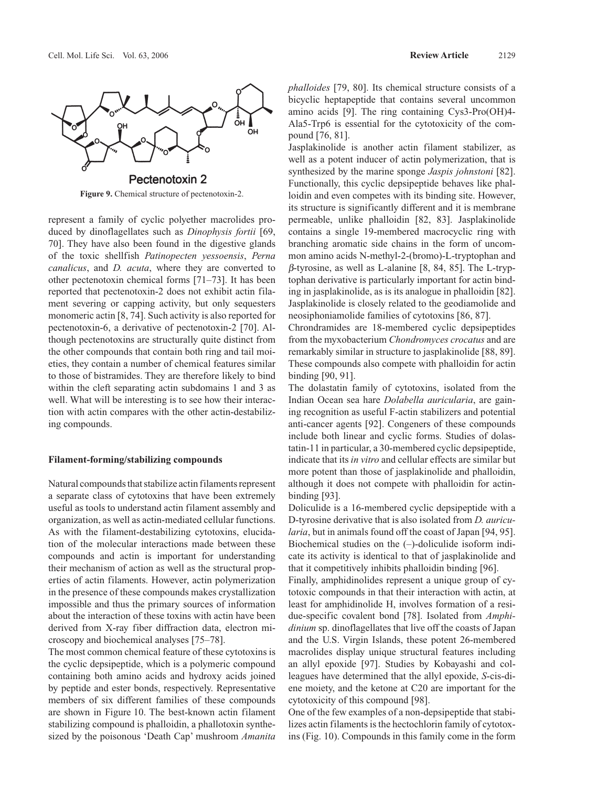

**Figure 9.** Chemical structure of pectenotoxin-2.

represent a family of cyclic polyether macrolides produced by dinoflagellates such as *Dinophysis fortii* [69, 70]. They have also been found in the digestive glands of the toxic shellfish *Patinopecten yessoensis*, *Perna canalicus*, and *D. acuta*, where they are converted to other pectenotoxin chemical forms [71–73]. It has been reported that pectenotoxin-2 does not exhibit actin filament severing or capping activity, but only sequesters monomeric actin [8, 74]. Such activity is also reported for pectenotoxin-6, a derivative of pectenotoxin-2 [70]. Although pectenotoxins are structurally quite distinct from the other compounds that contain both ring and tail moieties, they contain a number of chemical features similar to those of bistramides. They are therefore likely to bind within the cleft separating actin subdomains 1 and 3 as well. What will be interesting is to see how their interaction with actin compares with the other actin-destabilizing compounds.

#### **Filament-forming/stabilizing compounds**

Natural compounds that stabilize actin filaments represent a separate class of cytotoxins that have been extremely useful as tools to understand actin filament assembly and organization, as well as actin-mediated cellular functions. As with the filament-destabilizing cytotoxins, elucidation of the molecular interactions made between these compounds and actin is important for understanding their mechanism of action as well as the structural properties of actin filaments. However, actin polymerization in the presence of these compounds makes crystallization impossible and thus the primary sources of information about the interaction of these toxins with actin have been derived from X-ray fiber diffraction data, electron microscopy and biochemical analyses [75–78].

The most common chemical feature of these cytotoxins is the cyclic depsipeptide, which is a polymeric compound containing both amino acids and hydroxy acids joined by peptide and ester bonds, respectively. Representative members of six different families of these compounds are shown in Figure 10. The best-known actin filament stabilizing compound is phalloidin, a phallotoxin synthesized by the poisonous 'Death Cap' mushroom *Amanita*  *phalloides* [79, 80]. Its chemical structure consists of a bicyclic heptapeptide that contains several uncommon amino acids [9]. The ring containing Cys3-Pro(OH)4- Ala5-Trp6 is essential for the cytotoxicity of the compound [76, 81].

Jasplakinolide is another actin filament stabilizer, as well as a potent inducer of actin polymerization, that is synthesized by the marine sponge *Jaspis johnstoni* [82]. Functionally, this cyclic depsipeptide behaves like phalloidin and even competes with its binding site. However, its structure is significantly different and it is membrane permeable, unlike phalloidin [82, 83]. Jasplakinolide contains a single 19-membered macrocyclic ring with branching aromatic side chains in the form of uncommon amino acids N-methyl-2-(bromo)-L-tryptophan and β-tyrosine, as well as L-alanine [8, 84, 85]. The L-tryptophan derivative is particularly important for actin binding in jasplakinolide, as is its analogue in phalloidin [82]. Jasplakinolide is closely related to the geodiamolide and neosiphoniamolide families of cytotoxins [86, 87].

Chrondramides are 18-membered cyclic depsipeptides from the myxobacterium *Chondromyces crocatus* and are remarkably similar in structure to jasplakinolide [88, 89]. These compounds also compete with phalloidin for actin binding [90, 91].

The dolastatin family of cytotoxins, isolated from the Indian Ocean sea hare *Dolabella auricularia*, are gaining recognition as useful F-actin stabilizers and potential anti-cancer agents [92]. Congeners of these compounds include both linear and cyclic forms. Studies of dolastatin-11 in particular, a 30-membered cyclic depsipeptide, indicate that its *in vitro* and cellular effects are similar but more potent than those of jasplakinolide and phalloidin, although it does not compete with phalloidin for actinbinding [93].

Doliculide is a 16-membered cyclic depsipeptide with a D-tyrosine derivative that is also isolated from *D. auricularia*, but in animals found off the coast of Japan [94, 95]. Biochemical studies on the (–)-doliculide isoform indicate its activity is identical to that of jasplakinolide and that it competitively inhibits phalloidin binding [96].

Finally, amphidinolides represent a unique group of cytotoxic compounds in that their interaction with actin, at least for amphidinolide H, involves formation of a residue-specific covalent bond [78]. Isolated from *Amphidinium* sp. dinoflagellates that live off the coasts of Japan and the U.S. Virgin Islands, these potent 26-membered macrolides display unique structural features including an allyl epoxide [97]. Studies by Kobayashi and colleagues have determined that the allyl epoxide, *S*-cis-diene moiety, and the ketone at C20 are important for the cytotoxicity of this compound [98].

One of the few examples of a non-depsipeptide that stabilizes actin filaments is the hectochlorin family of cytotoxins (Fig. 10). Compounds in this family come in the form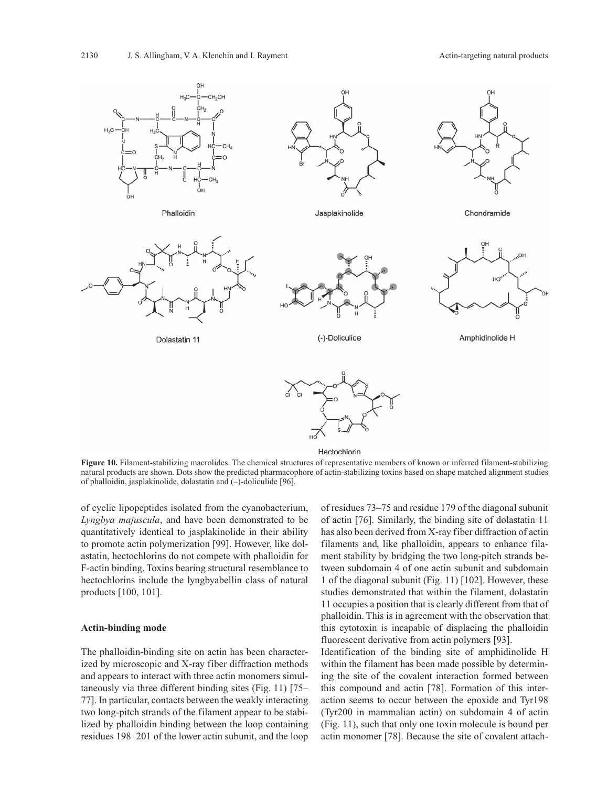

**Figure 10.** Filament-stabilizing macrolides. The chemical structures of representative members of known or inferred filament-stabilizing natural products are shown. Dots show the predicted pharmacophore of actin-stabilizing toxins based on shape matched alignment studies of phalloidin, jasplakinolide, dolastatin and (–)-doliculide [96].

of cyclic lipopeptides isolated from the cyanobacterium, *Lyngbya majuscula*, and have been demonstrated to be quantitatively identical to jasplakinolide in their ability to promote actin polymerization [99]. However, like dolastatin, hectochlorins do not compete with phalloidin for F-actin binding. Toxins bearing structural resemblance to hectochlorins include the lyngbyabellin class of natural products [100, 101].

#### **Actin-binding mode**

The phalloidin-binding site on actin has been characterized by microscopic and X-ray fiber diffraction methods and appears to interact with three actin monomers simultaneously via three different binding sites (Fig. 11) [75– 77]. In particular, contacts between the weakly interacting two long-pitch strands of the filament appear to be stabilized by phalloidin binding between the loop containing residues 198–201 of the lower actin subunit, and the loop of residues 73–75 and residue 179 of the diagonal subunit of actin [76]. Similarly, the binding site of dolastatin 11 has also been derived from X-ray fiber diffraction of actin filaments and, like phalloidin, appears to enhance filament stability by bridging the two long-pitch strands between subdomain 4 of one actin subunit and subdomain 1 of the diagonal subunit (Fig. 11) [102]. However, these studies demonstrated that within the filament, dolastatin 11 occupies a position that is clearly different from that of phalloidin. This is in agreement with the observation that this cytotoxin is incapable of displacing the phalloidin fluorescent derivative from actin polymers [93].

Identification of the binding site of amphidinolide H within the filament has been made possible by determining the site of the covalent interaction formed between this compound and actin [78]. Formation of this interaction seems to occur between the epoxide and Tyr198 (Tyr200 in mammalian actin) on subdomain 4 of actin (Fig. 11), such that only one toxin molecule is bound per actin monomer [78]. Because the site of covalent attach-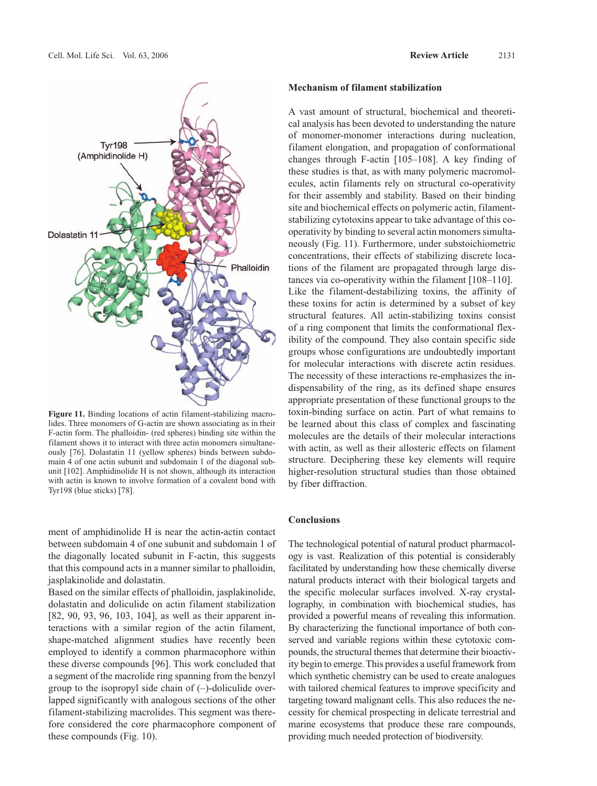

**Figure 11.** Binding locations of actin filament-stabilizing macrolides. Three monomers of G-actin are shown associating as in their F-actin form. The phalloidin- (red spheres) binding site within the filament shows it to interact with three actin monomers simultaneously [76]. Dolastatin 11 (yellow spheres) binds between subdomain 4 of one actin subunit and subdomain 1 of the diagonal subunit [102]. Amphidinolide H is not shown, although its interaction with actin is known to involve formation of a covalent bond with Tyr198 (blue sticks) [78].

ment of amphidinolide H is near the actin-actin contact between subdomain 4 of one subunit and subdomain 1 of the diagonally located subunit in F-actin, this suggests that this compound acts in a manner similar to phalloidin, jasplakinolide and dolastatin.

Based on the similar effects of phalloidin, jasplakinolide, dolastatin and doliculide on actin filament stabilization [82, 90, 93, 96, 103, 104], as well as their apparent interactions with a similar region of the actin filament, shape-matched alignment studies have recently been employed to identify a common pharmacophore within these diverse compounds [96]. This work concluded that a segment of the macrolide ring spanning from the benzyl group to the isopropyl side chain of  $(-)$ -doliculide overlapped significantly with analogous sections of the other filament-stabilizing macrolides. This segment was therefore considered the core pharmacophore component of these compounds (Fig. 10).

## **Mechanism of filament stabilization**

A vast amount of structural, biochemical and theoretical analysis has been devoted to understanding the nature of monomer-monomer interactions during nucleation, filament elongation, and propagation of conformational changes through F-actin [105–108]. A key finding of these studies is that, as with many polymeric macromolecules, actin filaments rely on structural co-operativity for their assembly and stability. Based on their binding site and biochemical effects on polymeric actin, filamentstabilizing cytotoxins appear to take advantage of this cooperativity by binding to several actin monomers simultaneously (Fig. 11). Furthermore, under substoichiometric concentrations, their effects of stabilizing discrete locations of the filament are propagated through large distances via co-operativity within the filament [108–110]. Like the filament-destabilizing toxins, the affinity of these toxins for actin is determined by a subset of key structural features. All actin-stabilizing toxins consist of a ring component that limits the conformational flexibility of the compound. They also contain specific side groups whose configurations are undoubtedly important for molecular interactions with discrete actin residues. The necessity of these interactions re-emphasizes the indispensability of the ring, as its defined shape ensures appropriate presentation of these functional groups to the toxin-binding surface on actin. Part of what remains to be learned about this class of complex and fascinating molecules are the details of their molecular interactions with actin, as well as their allosteric effects on filament structure. Deciphering these key elements will require higher-resolution structural studies than those obtained by fiber diffraction.

## **Conclusions**

The technological potential of natural product pharmacology is vast. Realization of this potential is considerably facilitated by understanding how these chemically diverse natural products interact with their biological targets and the specific molecular surfaces involved. X-ray crystallography, in combination with biochemical studies, has provided a powerful means of revealing this information. By characterizing the functional importance of both conserved and variable regions within these cytotoxic compounds, the structural themes that determine their bioactivity begin to emerge. This provides a useful framework from which synthetic chemistry can be used to create analogues with tailored chemical features to improve specificity and targeting toward malignant cells. This also reduces the necessity for chemical prospecting in delicate terrestrial and marine ecosystems that produce these rare compounds, providing much needed protection of biodiversity.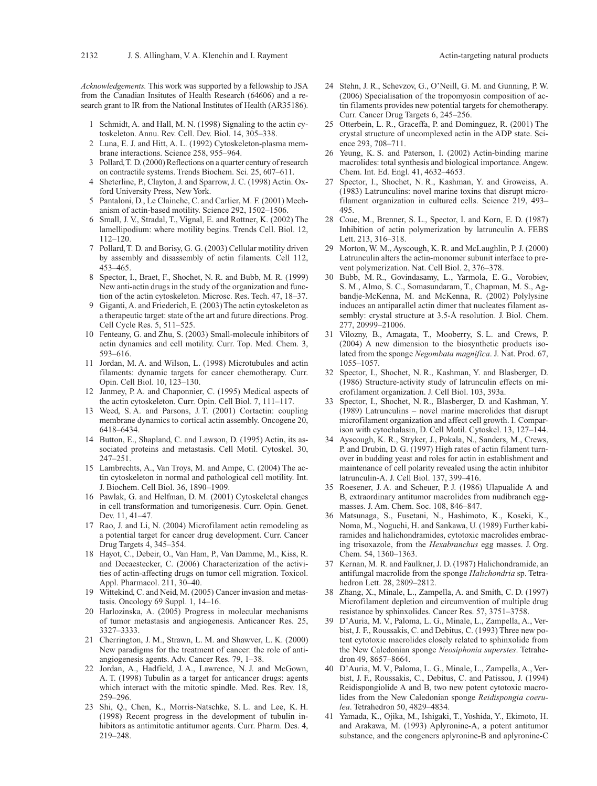*Acknowledgements.* This work was supported by a fellowship to JSA from the Canadian Insitutes of Health Research (64606) and a research grant to IR from the National Institutes of Health (AR35186).

- 1 Schmidt, A. and Hall, M. N. (1998) Signaling to the actin cytoskeleton. Annu. Rev. Cell. Dev. Biol. 14, 305–338.
- 2 Luna, E. J. and Hitt, A. L. (1992) Cytoskeleton-plasma membrane interactions. Science 258, 955–964.
- 3 Pollard, T. D. (2000) Reflections on a quarter century of research on contractile systems. Trends Biochem. Sci. 25, 607–611.
- 4 Sheterline, P., Clayton, J. and Sparrow, J. C. (1998) Actin. Oxford University Press, New York.
- 5 Pantaloni, D., Le Clainche, C. and Carlier, M. F. (2001) Mechanism of actin-based motility. Science 292, 1502–1506.
- 6 Small, J. V., Stradal, T., Vignal, E. and Rottner, K. (2002) The lamellipodium: where motility begins. Trends Cell. Biol. 12, 112–120.
- 7 Pollard, T. D. and Borisy, G. G. (2003) Cellular motility driven by assembly and disassembly of actin filaments. Cell 112, 453–465.
- 8 Spector, I., Braet, F., Shochet, N. R. and Bubb, M. R. (1999) New anti-actin drugs in the study of the organization and function of the actin cytoskeleton. Microsc. Res. Tech. 47, 18–37.
- 9 Giganti, A. and Friederich, E. (2003) The actin cytoskeleton as a therapeutic target: state of the art and future directions. Prog. Cell Cycle Res. 5, 511–525.
- 10 Fenteany, G. and Zhu, S. (2003) Small-molecule inhibitors of actin dynamics and cell motility. Curr. Top. Med. Chem. 3, 593–616.
- 11 Jordan, M. A. and Wilson, L. (1998) Microtubules and actin filaments: dynamic targets for cancer chemotherapy. Curr. Opin. Cell Biol. 10, 123–130.
- 12 Janmey, P. A. and Chaponnier, C. (1995) Medical aspects of the actin cytoskeleton. Curr. Opin. Cell Biol. 7, 111–117.
- 13 Weed, S. A. and Parsons, J. T. (2001) Cortactin: coupling membrane dynamics to cortical actin assembly. Oncogene 20, 6418–6434.
- 14 Button, E., Shapland, C. and Lawson, D. (1995) Actin, its associated proteins and metastasis. Cell Motil. Cytoskel. 30, 247–251.
- 15 Lambrechts, A., Van Troys, M. and Ampe, C. (2004) The actin cytoskeleton in normal and pathological cell motility. Int. J. Biochem. Cell Biol. 36, 1890–1909.
- 16 Pawlak, G. and Helfman, D. M. (2001) Cytoskeletal changes in cell transformation and tumorigenesis. Curr. Opin. Genet. Dev. 11, 41–47.
- 17 Rao, J. and Li, N. (2004) Microfilament actin remodeling as a potential target for cancer drug development. Curr. Cancer Drug Targets 4, 345–354.
- 18 Hayot, C., Debeir, O., Van Ham, P., Van Damme, M., Kiss, R. and Decaestecker, C. (2006) Characterization of the activities of actin-affecting drugs on tumor cell migration. Toxicol. Appl. Pharmacol. 211, 30–40.
- 19 Wittekind, C. and Neid, M. (2005) Cancer invasion and metastasis. Oncology 69 Suppl. 1, 14–16.
- 20 Harlozinska, A. (2005) Progress in molecular mechanisms of tumor metastasis and angiogenesis. Anticancer Res. 25, 3327–3333.
- 21 Cherrington, J. M., Strawn, L. M. and Shawver, L. K. (2000) New paradigms for the treatment of cancer: the role of antiangiogenesis agents. Adv. Cancer Res. 79, 1–38.
- 22 Jordan, A., Hadfield, J. A., Lawrence, N. J. and McGown, A. T. (1998) Tubulin as a target for anticancer drugs: agents which interact with the mitotic spindle. Med. Res. Rev. 18, 259–296.
- 23 Shi, Q., Chen, K., Morris-Natschke, S. L. and Lee, K. H. (1998) Recent progress in the development of tubulin inhibitors as antimitotic antitumor agents. Curr. Pharm. Des. 4, 219–248.
- 24 Stehn, J. R., Schevzov, G., O'Neill, G. M. and Gunning, P. W. (2006) Specialisation of the tropomyosin composition of actin filaments provides new potential targets for chemotherapy. Curr. Cancer Drug Targets 6, 245–256.
- 25 Otterbein, L. R., Graceffa, P. and Dominguez, R. (2001) The crystal structure of uncomplexed actin in the ADP state. Science 293, 708–711.
- 26 Yeung, K. S. and Paterson, I. (2002) Actin-binding marine macrolides: total synthesis and biological importance. Angew. Chem. Int. Ed. Engl. 41, 4632–4653.
- 27 Spector, I., Shochet, N. R., Kashman, Y. and Groweiss, A. (1983) Latrunculins: novel marine toxins that disrupt microfilament organization in cultured cells. Science 219, 493– 495.
- 28 Coue, M., Brenner, S. L., Spector, I. and Korn, E. D. (1987) Inhibition of actin polymerization by latrunculin A. FEBS Lett. 213, 316–318.
- 29 Morton, W. M., Ayscough, K. R. and McLaughlin, P. J. (2000) Latrunculin alters the actin-monomer subunit interface to prevent polymerization. Nat. Cell Biol. 2, 376–378.
- 30 Bubb, M. R., Govindasamy, L., Yarmola, E. G., Vorobiev, S. M., Almo, S. C., Somasundaram, T., Chapman, M. S., Agbandje-McKenna, M. and McKenna, R. (2002) Polylysine induces an antiparallel actin dimer that nucleates filament assembly: crystal structure at 3.5-Å resolution. J. Biol. Chem. 277, 20999–21006.
- 31 Vilozny, B., Amagata, T., Mooberry, S. L. and Crews, P. (2004) A new dimension to the biosynthetic products isolated from the sponge *Negombata magnifica*. J. Nat. Prod. 67, 1055–1057.
- 32 Spector, I., Shochet, N. R., Kashman, Y. and Blasberger, D. (1986) Structure-activity study of latrunculin effects on microfilament organization. J. Cell Biol. 103, 393a.
- 33 Spector, I., Shochet, N. R., Blasberger, D. and Kashman, Y. (1989) Latrunculins – novel marine macrolides that disrupt microfilament organization and affect cell growth. I. Comparison with cytochalasin, D. Cell Motil. Cytoskel. 13, 127–144.
- 34 Ayscough, K. R., Stryker, J., Pokala, N., Sanders, M., Crews, P. and Drubin, D. G. (1997) High rates of actin filament turnover in budding yeast and roles for actin in establishment and maintenance of cell polarity revealed using the actin inhibitor latrunculin-A. J. Cell Biol. 137, 399–416.
- 35 Roesener, J. A. and Scheuer, P. J. (1986) Ulapualide A and B, extraordinary antitumor macrolides from nudibranch eggmasses. J. Am. Chem. Soc. 108, 846–847.
- 36 Matsunaga, S., Fusetani, N., Hashimoto, K., Koseki, K., Noma, M., Noguchi, H. and Sankawa, U. (1989) Further kabiramides and halichondramides, cytotoxic macrolides embracing trisoxazole, from the *Hexabranchus* egg masses. J. Org. Chem. 54, 1360–1363.
- 37 Kernan, M. R. and Faulkner, J. D. (1987) Halichondramide, an antifungal macrolide from the sponge *Halichondria* sp. Tetrahedron Lett. 28, 2809–2812.
- 38 Zhang, X., Minale, L., Zampella, A. and Smith, C. D. (1997) Microfilament depletion and circumvention of multiple drug resistance by sphinxolides. Cancer Res. 57, 3751–3758.
- 39 D'Auria, M. V., Paloma, L. G., Minale, L., Zampella, A., Verbist, J. F., Roussakis, C. and Debitus, C. (1993) Three new potent cytotoxic macrolides closely related to sphinxolide from the New Caledonian sponge *Neosiphonia superstes*. Tetrahedron 49, 8657–8664.
- 40 D'Auria, M. V., Paloma, L. G., Minale, L., Zampella, A., Verbist, J. F., Roussakis, C., Debitus, C. and Patissou, J. (1994) Reidispongiolide A and B, two new potent cytotoxic macrolides from the New Caledonian sponge *Reidispongia coerulea*. Tetrahedron 50, 4829–4834.
- 41 Yamada, K., Ojika, M., Ishigaki, T., Yoshida, Y., Ekimoto, H. and Arakawa, M. (1993) Aplyronine-A, a potent antitumor substance, and the congeners aplyronine-B and aplyronine-C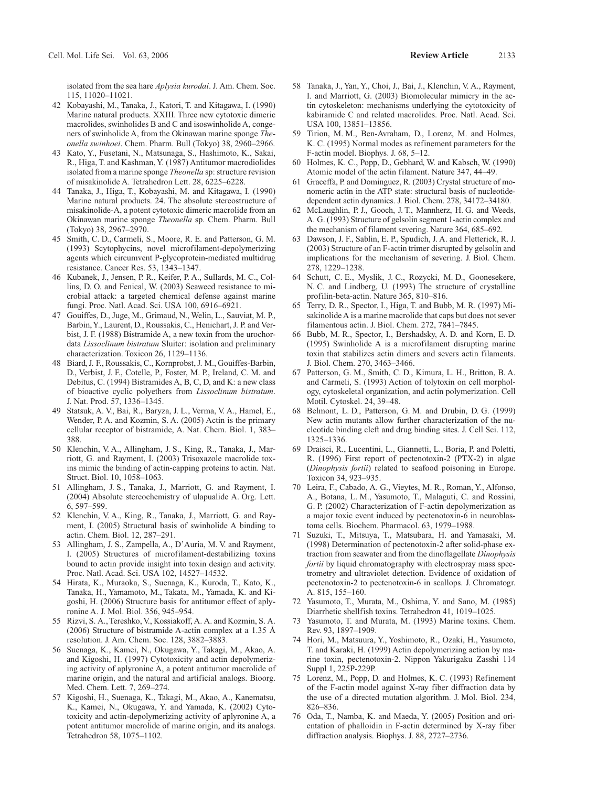isolated from the sea hare *Aplysia kurodai*. J. Am. Chem. Soc. 115, 11020–11021.

- 42 Kobayashi, M., Tanaka, J., Katori, T. and Kitagawa, I. (1990) Marine natural products. XXIII. Three new cytotoxic dimeric macrolides, swinholides B and C and isoswinholide A, congeners of swinholide A, from the Okinawan marine sponge *Theonella swinhoei*. Chem. Pharm. Bull (Tokyo) 38, 2960–2966.
- 43 Kato, Y., Fusetani, N., Matsunaga, S., Hashimoto, K., Sakai, R., Higa, T. and Kashman, Y. (1987) Antitumor macrodiolides isolated from a marine sponge *Theonella* sp: structure revision of misakinolide A. Tetrahedron Lett. 28, 6225–6228.
- 44 Tanaka, J., Higa, T., Kobayashi, M. and Kitagawa, I. (1990) Marine natural products. 24. The absolute stereostructure of misakinolide-A, a potent cytotoxic dimeric macrolide from an Okinawan marine sponge *Theonella* sp. Chem. Pharm. Bull (Tokyo) 38, 2967–2970.
- 45 Smith, C. D., Carmeli, S., Moore, R. E. and Patterson, G. M. (1993) Scytophycins, novel microfilament-depolymerizing agents which circumvent P-glycoprotein-mediated multidrug resistance. Cancer Res. 53, 1343–1347.
- 46 Kubanek, J., Jensen, P. R., Keifer, P. A., Sullards, M. C., Collins, D. O. and Fenical, W. (2003) Seaweed resistance to microbial attack: a targeted chemical defense against marine fungi. Proc. Natl. Acad. Sci. USA 100, 6916–6921.
- 47 Gouiffes, D., Juge, M., Grimaud, N., Welin, L., Sauviat, M. P., Barbin, Y., Laurent, D., Roussakis, C., Henichart, J. P. and Verbist, J. F. (1988) Bistramide A, a new toxin from the urochordata *Lissoclinum bistratum* Sluiter: isolation and preliminary characterization. Toxicon 26, 1129–1136.
- 48 Biard, J. F., Roussakis, C., Kornprobst, J. M., Gouiffes-Barbin, D., Verbist, J. F., Cotelle, P., Foster, M. P., Ireland, C. M. and Debitus, C. (1994) Bistramides A, B, C, D, and K: a new class of bioactive cyclic polyethers from *Lissoclinum bistratum*. J. Nat. Prod. 57, 1336–1345.
- 49 Statsuk, A. V., Bai, R., Baryza, J. L., Verma, V. A., Hamel, E., Wender, P. A. and Kozmin, S. A. (2005) Actin is the primary cellular receptor of bistramide, A. Nat. Chem. Biol. 1, 383– 388.
- 50 Klenchin, V. A., Allingham, J. S., King, R., Tanaka, J., Marriott, G. and Rayment, I. (2003) Trisoxazole macrolide toxins mimic the binding of actin-capping proteins to actin. Nat. Struct. Biol. 10, 1058–1063.
- 51 Allingham, J. S., Tanaka, J., Marriott, G. and Rayment, I. (2004) Absolute stereochemistry of ulapualide A. Org. Lett. 6, 597–599.
- 52 Klenchin, V. A., King, R., Tanaka, J., Marriott, G. and Rayment, I. (2005) Structural basis of swinholide A binding to actin. Chem. Biol. 12, 287–291.
- 53 Allingham, J. S., Zampella, A., D'Auria, M. V. and Rayment, I. (2005) Structures of microfilament-destabilizing toxins bound to actin provide insight into toxin design and activity. Proc. Natl. Acad. Sci. USA 102, 14527–14532.
- 54 Hirata, K., Muraoka, S., Suenaga, K., Kuroda, T., Kato, K., Tanaka, H., Yamamoto, M., Takata, M., Yamada, K. and Kigoshi, H. (2006) Structure basis for antitumor effect of aplyronine A. J. Mol. Biol. 356, 945–954.
- 55 Rizvi, S. A., Tereshko, V., Kossiakoff, A. A. and Kozmin, S. A. (2006) Structure of bistramide A-actin complex at a 1.35 Å resolution. J. Am. Chem. Soc. 128, 3882–3883.
- 56 Suenaga, K., Kamei, N., Okugawa, Y., Takagi, M., Akao, A. and Kigoshi, H. (1997) Cytotoxicity and actin depolymerizing activity of aplyronine A, a potent antitumor macrolide of marine origin, and the natural and artificial analogs. Bioorg. Med. Chem. Lett. 7, 269–274.
- 57 Kigoshi, H., Suenaga, K., Takagi, M., Akao, A., Kanematsu, K., Kamei, N., Okugawa, Y. and Yamada, K. (2002) Cytotoxicity and actin-depolymerizing activity of aplyronine A, a potent antitumor macrolide of marine origin, and its analogs. Tetrahedron 58, 1075–1102.
- 58 Tanaka, J., Yan, Y., Choi, J., Bai, J., Klenchin, V. A., Rayment, I. and Marriott, G. (2003) Biomolecular mimicry in the actin cytoskeleton: mechanisms underlying the cytotoxicity of kabiramide C and related macrolides. Proc. Natl. Acad. Sci. USA 100, 13851–13856.
- 59 Tirion, M. M., Ben-Avraham, D., Lorenz, M. and Holmes, K. C. (1995) Normal modes as refinement parameters for the F-actin model. Biophys. J. 68, 5–12.
- 60 Holmes, K. C., Popp, D., Gebhard, W. and Kabsch, W. (1990) Atomic model of the actin filament. Nature 347, 44–49.
- 61 Graceffa, P. and Dominguez, R. (2003) Crystal structure of monomeric actin in the ATP state: structural basis of nucleotidedependent actin dynamics. J. Biol. Chem. 278, 34172–34180.
- 62 McLaughlin, P. J., Gooch, J. T., Mannherz, H. G. and Weeds, A. G. (1993) Structure of gelsolin segment 1-actin complex and the mechanism of filament severing. Nature 364, 685–692.
- 63 Dawson, J. F., Sablin, E. P., Spudich, J. A. and Fletterick, R. J. (2003) Structure of an F-actin trimer disrupted by gelsolin and implications for the mechanism of severing. J. Biol. Chem. 278, 1229–1238.
- 64 Schutt, C. E., Myslik, J. C., Rozycki, M. D., Goonesekere, N. C. and Lindberg, U. (1993) The structure of crystalline profilin-beta-actin. Nature 365, 810–816.
- 65 Terry, D. R., Spector, I., Higa, T. and Bubb, M. R. (1997) Misakinolide A is a marine macrolide that caps but does not sever filamentous actin. J. Biol. Chem. 272, 7841–7845.
- 66 Bubb, M. R., Spector, I., Bershadsky, A. D. and Korn, E. D. (1995) Swinholide A is a microfilament disrupting marine toxin that stabilizes actin dimers and severs actin filaments. J. Biol. Chem. 270, 3463–3466.
- 67 Patterson, G. M., Smith, C. D., Kimura, L. H., Britton, B. A. and Carmeli, S. (1993) Action of tolytoxin on cell morphology, cytoskeletal organization, and actin polymerization. Cell Motil. Cytoskel. 24, 39–48.
- 68 Belmont, L. D., Patterson, G. M. and Drubin, D. G. (1999) New actin mutants allow further characterization of the nucleotide binding cleft and drug binding sites. J. Cell Sci. 112, 1325–1336.
- 69 Draisci, R., Lucentini, L., Giannetti, L., Boria, P. and Poletti, R. (1996) First report of pectenotoxin-2 (PTX-2) in algae (*Dinophysis fortii*) related to seafood poisoning in Europe. Toxicon 34, 923–935.
- 70 Leira, F., Cabado, A. G., Vieytes, M. R., Roman, Y., Alfonso, A., Botana, L. M., Yasumoto, T., Malaguti, C. and Rossini, G. P. (2002) Characterization of F-actin depolymerization as a major toxic event induced by pectenotoxin-6 in neuroblastoma cells. Biochem. Pharmacol. 63, 1979–1988.
- 71 Suzuki, T., Mitsuya, T., Matsubara, H. and Yamasaki, M. (1998) Determination of pectenotoxin-2 after solid-phase extraction from seawater and from the dinoflagellate *Dinophysis fortii* by liquid chromatography with electrospray mass spectrometry and ultraviolet detection. Evidence of oxidation of pectenotoxin-2 to pectenotoxin-6 in scallops. J. Chromatogr. A. 815, 155–160.
- 72 Yasumoto, T., Murata, M., Oshima, Y. and Sano, M. (1985) Diarrhetic shellfish toxins. Tetrahedron 41, 1019–1025.
- 73 Yasumoto, T. and Murata, M. (1993) Marine toxins. Chem. Rev. 93, 1897–1909.
- 74 Hori, M., Matsuura, Y., Yoshimoto, R., Ozaki, H., Yasumoto, T. and Karaki, H. (1999) Actin depolymerizing action by marine toxin, pectenotoxin-2. Nippon Yakurigaku Zasshi 114 Suppl 1, 225P-229P.
- 75 Lorenz, M., Popp, D. and Holmes, K. C. (1993) Refinement of the F-actin model against X-ray fiber diffraction data by the use of a directed mutation algorithm. J. Mol. Biol. 234, 826–836.
- 76 Oda, T., Namba, K. and Maeda, Y. (2005) Position and orientation of phalloidin in F-actin determined by X-ray fiber diffraction analysis. Biophys. J. 88, 2727–2736.